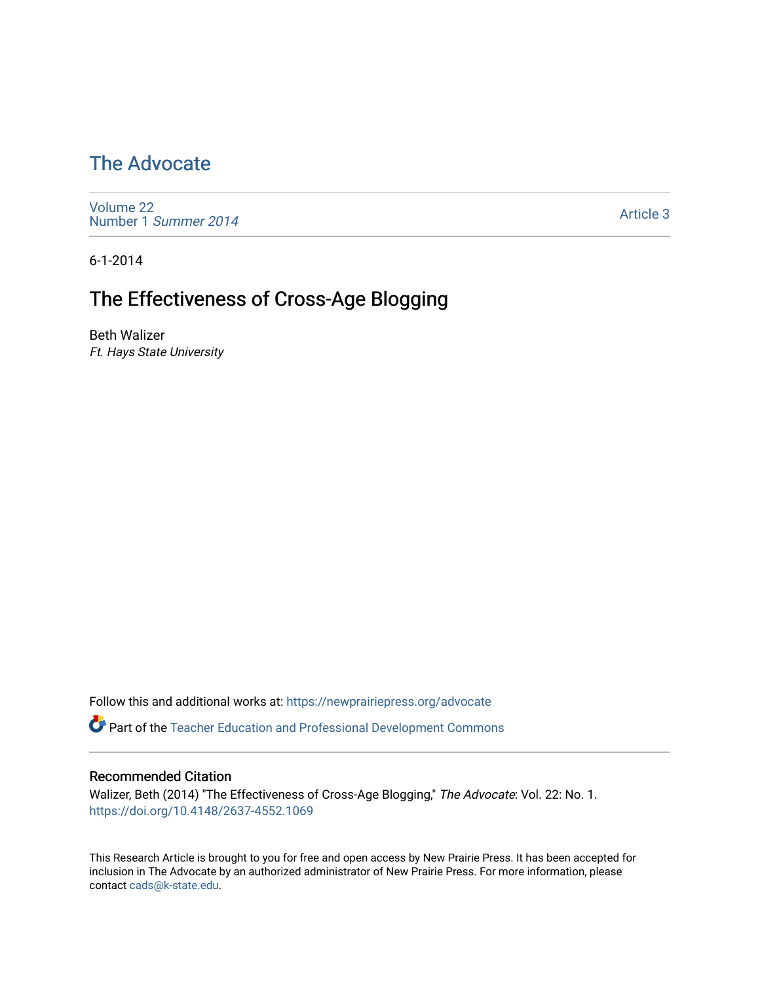### [The Advocate](https://newprairiepress.org/advocate)

[Volume 22](https://newprairiepress.org/advocate/vol22) [Number 1](https://newprairiepress.org/advocate/vol22/iss1) Summer 2014

[Article 3](https://newprairiepress.org/advocate/vol22/iss1/3) 

6-1-2014

### The Effectiveness of Cross-Age Blogging

Beth Walizer Ft. Hays State University

Follow this and additional works at: [https://newprairiepress.org/advocate](https://newprairiepress.org/advocate?utm_source=newprairiepress.org%2Fadvocate%2Fvol22%2Fiss1%2F3&utm_medium=PDF&utm_campaign=PDFCoverPages) 

**Part of the Teacher Education and Professional Development Commons** 

#### Recommended Citation

Walizer, Beth (2014) "The Effectiveness of Cross-Age Blogging," The Advocate: Vol. 22: No. 1. <https://doi.org/10.4148/2637-4552.1069>

This Research Article is brought to you for free and open access by New Prairie Press. It has been accepted for inclusion in The Advocate by an authorized administrator of New Prairie Press. For more information, please contact [cads@k-state.edu](mailto:cads@k-state.edu).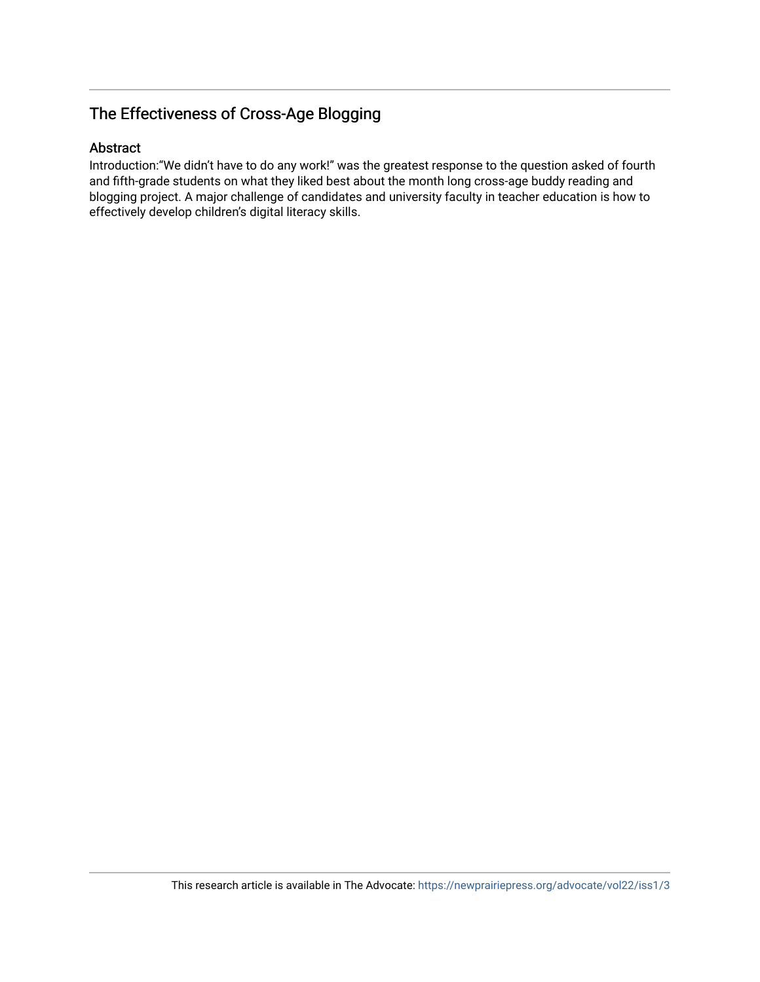#### The Effectiveness of Cross-Age Blogging

#### Abstract

Introduction:"We didn't have to do any work!" was the greatest response to the question asked of fourth and fifth-grade students on what they liked best about the month long cross-age buddy reading and blogging project. A major challenge of candidates and university faculty in teacher education is how to effectively develop children's digital literacy skills.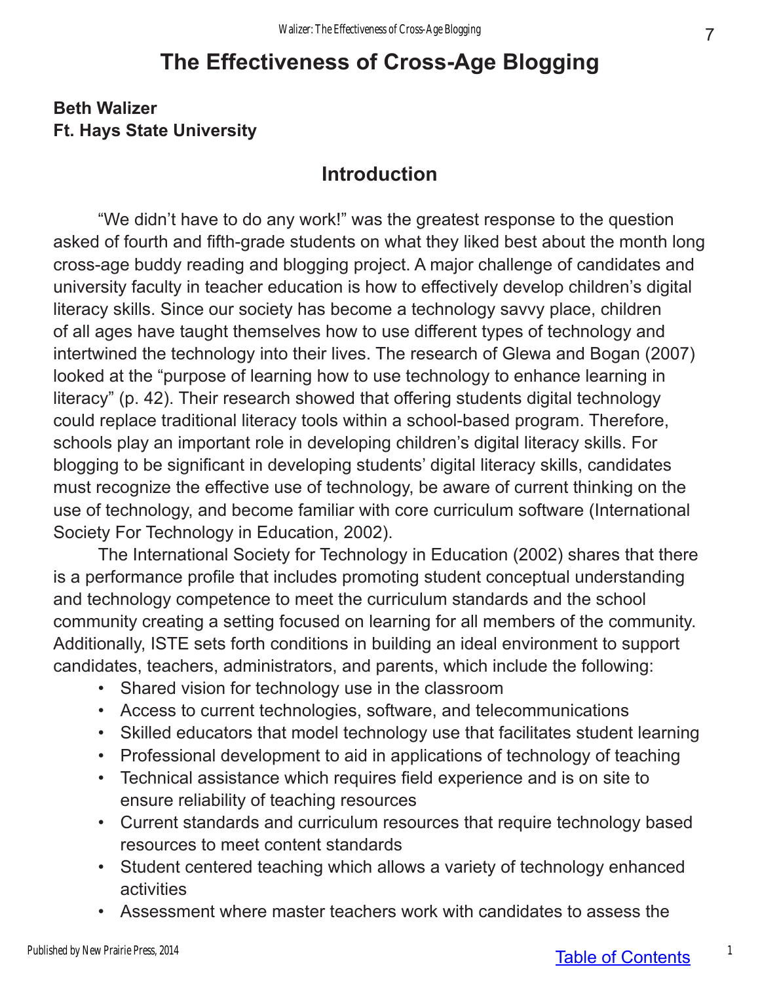# **The Effectiveness of Cross-Age Blogging**

#### **Beth Walizer Ft. Hays State University**

### **Introduction**

"We didn't have to do any work!" was the greatest response to the question asked of fourth and fifth-grade students on what they liked best about the month long cross-age buddy reading and blogging project. A major challenge of candidates and university faculty in teacher education is how to effectively develop children's digital literacy skills. Since our society has become a technology savvy place, children of all ages have taught themselves how to use different types of technology and intertwined the technology into their lives. The research of Glewa and Bogan (2007) looked at the "purpose of learning how to use technology to enhance learning in literacy" (p. 42). Their research showed that offering students digital technology could replace traditional literacy tools within a school-based program. Therefore, schools play an important role in developing children's digital literacy skills. For blogging to be significant in developing students' digital literacy skills, candidates must recognize the effective use of technology, be aware of current thinking on the use of technology, and become familiar with core curriculum software (International Society For Technology in Education, 2002).

The International Society for Technology in Education (2002) shares that there is a performance profile that includes promoting student conceptual understanding and technology competence to meet the curriculum standards and the school community creating a setting focused on learning for all members of the community. Additionally, ISTE sets forth conditions in building an ideal environment to support candidates, teachers, administrators, and parents, which include the following:

- Shared vision for technology use in the classroom
- Access to current technologies, software, and telecommunications
- Skilled educators that model technology use that facilitates student learning
- Professional development to aid in applications of technology of teaching
- Technical assistance which requires field experience and is on site to ensure reliability of teaching resources
- Current standards and curriculum resources that require technology based resources to meet content standards
- Student centered teaching which allows a variety of technology enhanced activities
- Assessment where master teachers work with candidates to assess the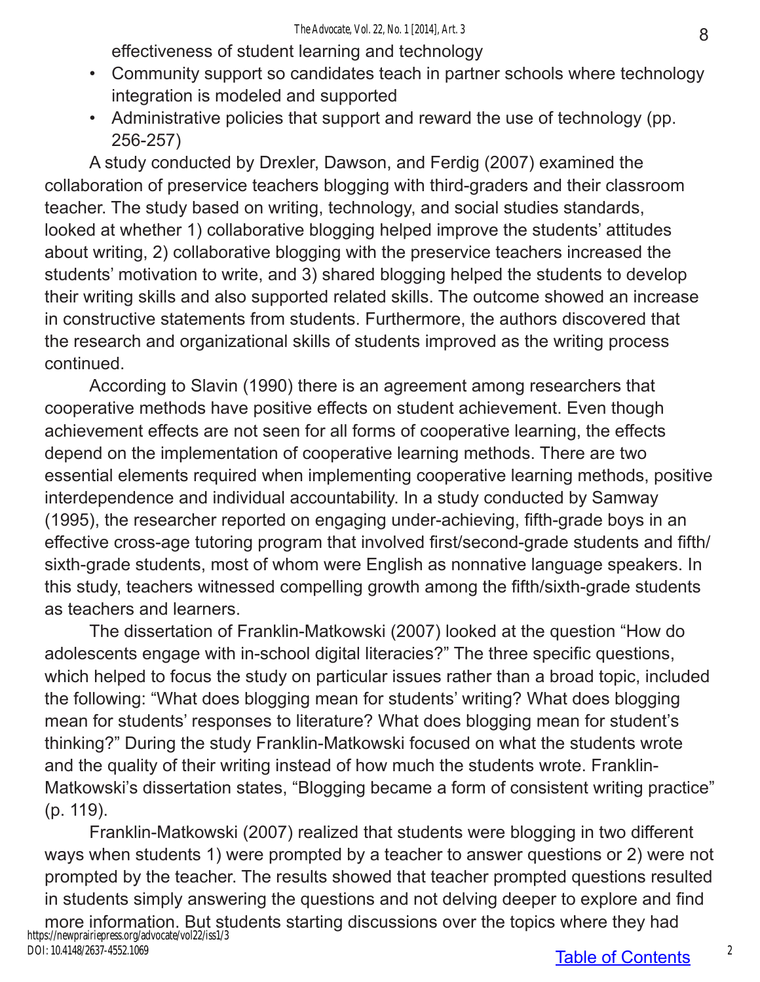effectiveness of student learning and technology

- Community support so candidates teach in partner schools where technology integration is modeled and supported
- Administrative policies that support and reward the use of technology (pp. 256-257)

A study conducted by Drexler, Dawson, and Ferdig (2007) examined the collaboration of preservice teachers blogging with third-graders and their classroom teacher. The study based on writing, technology, and social studies standards, looked at whether 1) collaborative blogging helped improve the students' attitudes about writing, 2) collaborative blogging with the preservice teachers increased the students' motivation to write, and 3) shared blogging helped the students to develop their writing skills and also supported related skills. The outcome showed an increase in constructive statements from students. Furthermore, the authors discovered that the research and organizational skills of students improved as the writing process continued.

According to Slavin (1990) there is an agreement among researchers that cooperative methods have positive effects on student achievement. Even though achievement effects are not seen for all forms of cooperative learning, the effects depend on the implementation of cooperative learning methods. There are two essential elements required when implementing cooperative learning methods, positive interdependence and individual accountability. In a study conducted by Samway (1995), the researcher reported on engaging under-achieving, fifth-grade boys in an effective cross-age tutoring program that involved first/second-grade students and fifth/ sixth-grade students, most of whom were English as nonnative language speakers. In this study, teachers witnessed compelling growth among the fifth/sixth-grade students as teachers and learners.

The dissertation of Franklin-Matkowski (2007) looked at the question "How do adolescents engage with in-school digital literacies?" The three specific questions, which helped to focus the study on particular issues rather than a broad topic, included the following: "What does blogging mean for students' writing? What does blogging mean for students' responses to literature? What does blogging mean for student's thinking?" During the study Franklin-Matkowski focused on what the students wrote and the quality of their writing instead of how much the students wrote. Franklin-Matkowski's dissertation states, "Blogging became a form of consistent writing practice" (p. 119).

Franklin-Matkowski (2007) realized that students were blogging in two different ways when students 1) were prompted by a teacher to answer questions or 2) were not prompted by the teacher. The results showed that teacher prompted questions resulted in students simply answering the questions and not delving deeper to explore and find

more information. But students starting discussions over the topics where they had https://newprairiepress.org/advocate/vol22/iss1/3 DOI: 10.4148/2637-4552.1069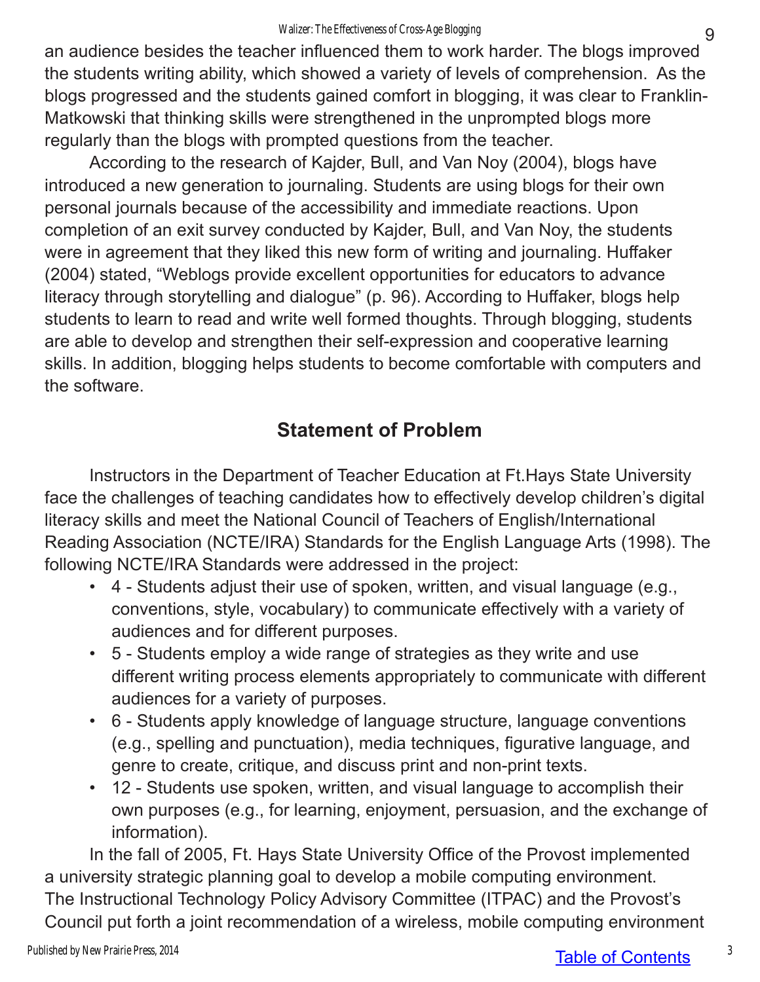an audience besides the teacher influenced them to work harder. The blogs improved the students writing ability, which showed a variety of levels of comprehension. As the blogs progressed and the students gained comfort in blogging, it was clear to Franklin-Matkowski that thinking skills were strengthened in the unprompted blogs more regularly than the blogs with prompted questions from the teacher.

According to the research of Kajder, Bull, and Van Noy (2004), blogs have introduced a new generation to journaling. Students are using blogs for their own personal journals because of the accessibility and immediate reactions. Upon completion of an exit survey conducted by Kajder, Bull, and Van Noy, the students were in agreement that they liked this new form of writing and journaling. Huffaker (2004) stated, "Weblogs provide excellent opportunities for educators to advance literacy through storytelling and dialogue" (p. 96). According to Huffaker, blogs help students to learn to read and write well formed thoughts. Through blogging, students are able to develop and strengthen their self-expression and cooperative learning skills. In addition, blogging helps students to become comfortable with computers and the software.

# **Statement of Problem**

Instructors in the Department of Teacher Education at Ft.Hays State University face the challenges of teaching candidates how to effectively develop children's digital literacy skills and meet the National Council of Teachers of English/International Reading Association (NCTE/IRA) Standards for the English Language Arts (1998). The following NCTE/IRA Standards were addressed in the project:

- 4 Students adjust their use of spoken, written, and visual language (e.g., conventions, style, vocabulary) to communicate effectively with a variety of audiences and for different purposes.
- 5 Students employ a wide range of strategies as they write and use different writing process elements appropriately to communicate with different audiences for a variety of purposes.
- 6 Students apply knowledge of language structure, language conventions (e.g., spelling and punctuation), media techniques, figurative language, and genre to create, critique, and discuss print and non-print texts.
- 12 Students use spoken, written, and visual language to accomplish their own purposes (e.g., for learning, enjoyment, persuasion, and the exchange of information).

In the fall of 2005, Ft. Hays State University Office of the Provost implemented a university strategic planning goal to develop a mobile computing environment. The Instructional Technology Policy Advisory Committee (ITPAC) and the Provost's Council put forth a joint recommendation of a wireless, mobile computing environment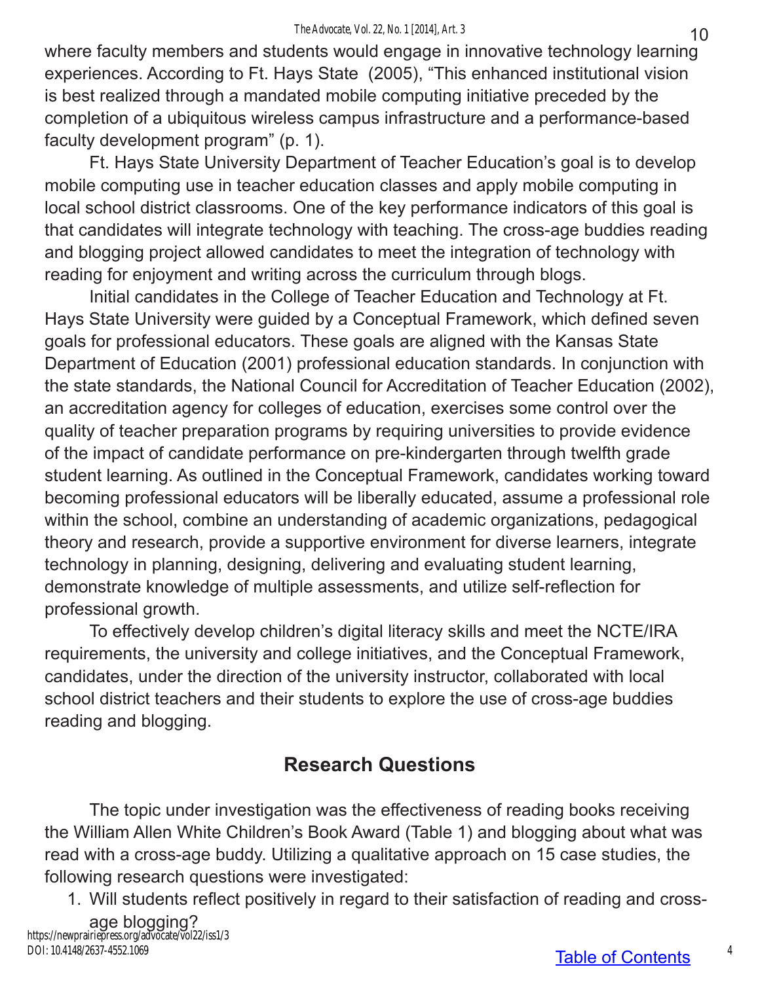where faculty members and students would engage in innovative technology learning experiences. According to Ft. Hays State (2005), "This enhanced institutional vision is best realized through a mandated mobile computing initiative preceded by the completion of a ubiquitous wireless campus infrastructure and a performance-based faculty development program" (p. 1).

Ft. Hays State University Department of Teacher Education's goal is to develop mobile computing use in teacher education classes and apply mobile computing in local school district classrooms. One of the key performance indicators of this goal is that candidates will integrate technology with teaching. The cross-age buddies reading and blogging project allowed candidates to meet the integration of technology with reading for enjoyment and writing across the curriculum through blogs.

Initial candidates in the College of Teacher Education and Technology at Ft. Hays State University were guided by a Conceptual Framework, which defined seven goals for professional educators. These goals are aligned with the Kansas State Department of Education (2001) professional education standards. In conjunction with the state standards, the National Council for Accreditation of Teacher Education (2002), an accreditation agency for colleges of education, exercises some control over the quality of teacher preparation programs by requiring universities to provide evidence of the impact of candidate performance on pre-kindergarten through twelfth grade student learning. As outlined in the Conceptual Framework, candidates working toward becoming professional educators will be liberally educated, assume a professional role within the school, combine an understanding of academic organizations, pedagogical theory and research, provide a supportive environment for diverse learners, integrate technology in planning, designing, delivering and evaluating student learning, demonstrate knowledge of multiple assessments, and utilize self-reflection for professional growth.

To effectively develop children's digital literacy skills and meet the NCTE/IRA requirements, the university and college initiatives, and the Conceptual Framework, candidates, under the direction of the university instructor, collaborated with local school district teachers and their students to explore the use of cross-age buddies reading and blogging.

### **Research Questions**

The topic under investigation was the effectiveness of reading books receiving the William Allen White Children's Book Award (Table 1) and blogging about what was read with a cross-age buddy. Utilizing a qualitative approach on 15 case studies, the following research questions were investigated:

1. Will students reflect positively in regard to their satisfaction of reading and cross-

age blogging? https://newprairiepress.org/advocate/vol22/iss1/3 DOI: 10.4148/2637-4552.1069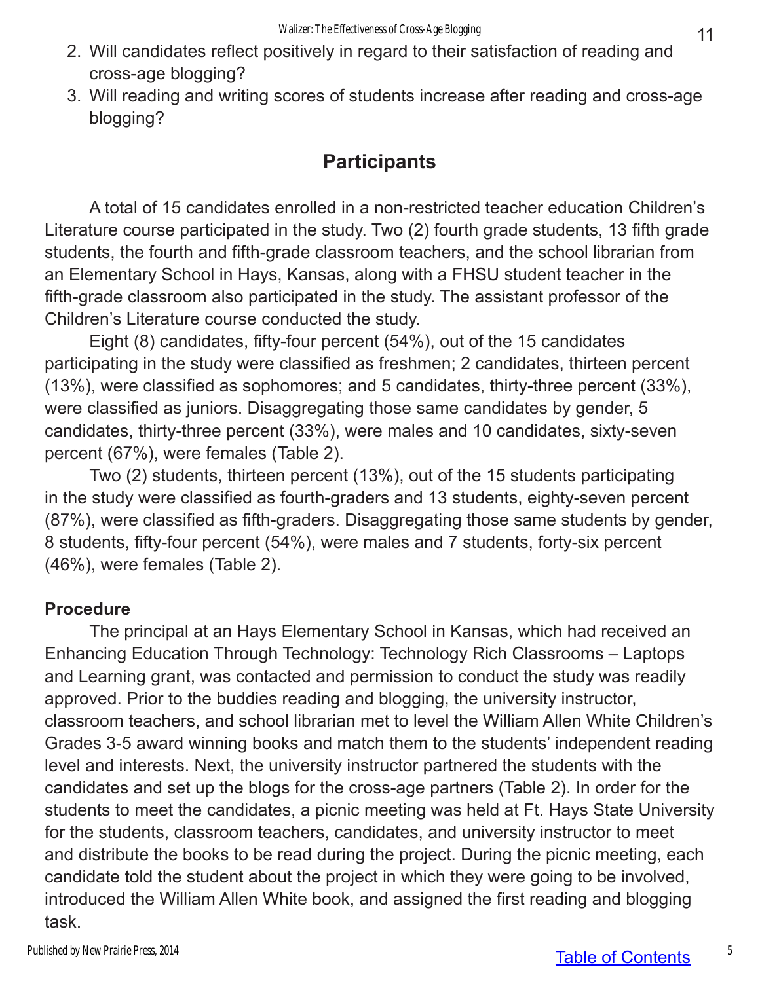- 2. Will candidates reflect positively in regard to their satisfaction of reading and cross-age blogging?
- 3. Will reading and writing scores of students increase after reading and cross-age blogging?

#### **Participants**

A total of 15 candidates enrolled in a non-restricted teacher education Children's Literature course participated in the study. Two (2) fourth grade students, 13 fifth grade students, the fourth and fifth-grade classroom teachers, and the school librarian from an Elementary School in Hays, Kansas, along with a FHSU student teacher in the fifth-grade classroom also participated in the study. The assistant professor of the Children's Literature course conducted the study.

Eight (8) candidates, fifty-four percent (54%), out of the 15 candidates participating in the study were classified as freshmen; 2 candidates, thirteen percent (13%), were classified as sophomores; and 5 candidates, thirty-three percent (33%), were classified as juniors. Disaggregating those same candidates by gender, 5 candidates, thirty-three percent (33%), were males and 10 candidates, sixty-seven percent (67%), were females (Table 2).

Two (2) students, thirteen percent (13%), out of the 15 students participating in the study were classified as fourth-graders and 13 students, eighty-seven percent (87%), were classified as fifth-graders. Disaggregating those same students by gender, 8 students, fifty-four percent (54%), were males and 7 students, forty-six percent (46%), were females (Table 2).

#### **Procedure**

The principal at an Hays Elementary School in Kansas, which had received an Enhancing Education Through Technology: Technology Rich Classrooms – Laptops and Learning grant, was contacted and permission to conduct the study was readily approved. Prior to the buddies reading and blogging, the university instructor, classroom teachers, and school librarian met to level the William Allen White Children's Grades 3-5 award winning books and match them to the students' independent reading level and interests. Next, the university instructor partnered the students with the candidates and set up the blogs for the cross-age partners (Table 2). In order for the students to meet the candidates, a picnic meeting was held at Ft. Hays State University for the students, classroom teachers, candidates, and university instructor to meet and distribute the books to be read during the project. During the picnic meeting, each candidate told the student about the project in which they were going to be involved, introduced the William Allen White book, and assigned the first reading and blogging task.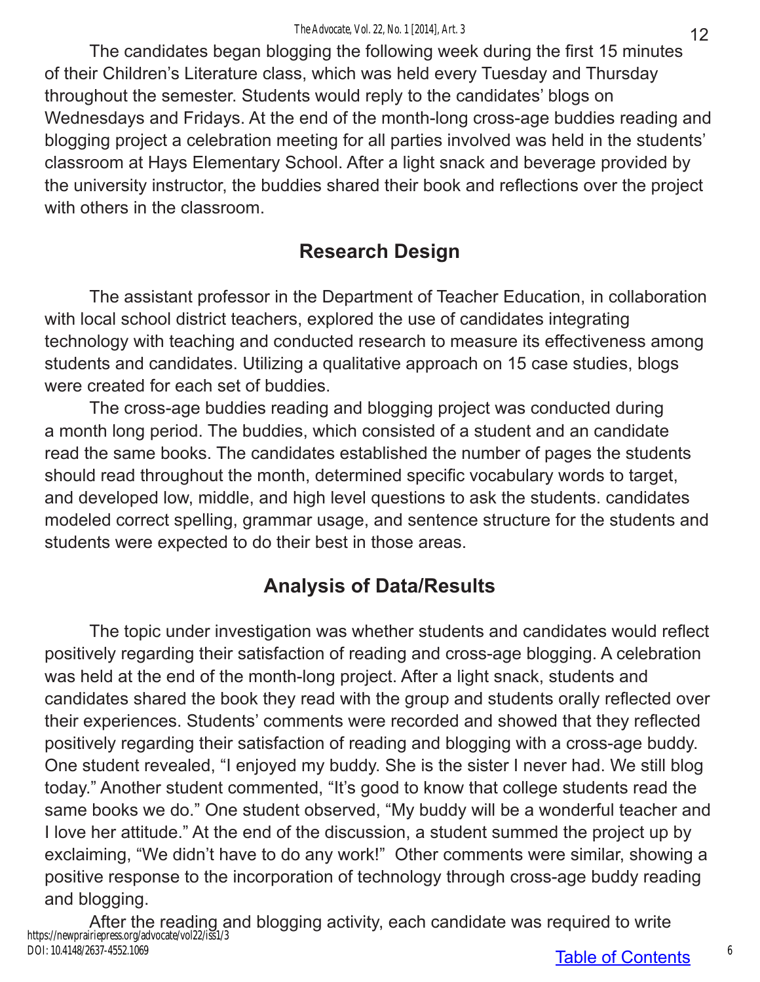The candidates began blogging the following week during the first 15 minutes of their Children's Literature class, which was held every Tuesday and Thursday throughout the semester. Students would reply to the candidates' blogs on Wednesdays and Fridays. At the end of the month-long cross-age buddies reading and blogging project a celebration meeting for all parties involved was held in the students' classroom at Hays Elementary School. After a light snack and beverage provided by the university instructor, the buddies shared their book and reflections over the project with others in the classroom.

## **Research Design**

The assistant professor in the Department of Teacher Education, in collaboration with local school district teachers, explored the use of candidates integrating technology with teaching and conducted research to measure its effectiveness among students and candidates. Utilizing a qualitative approach on 15 case studies, blogs were created for each set of buddies.

The cross-age buddies reading and blogging project was conducted during a month long period. The buddies, which consisted of a student and an candidate read the same books. The candidates established the number of pages the students should read throughout the month, determined specific vocabulary words to target, and developed low, middle, and high level questions to ask the students. candidates modeled correct spelling, grammar usage, and sentence structure for the students and students were expected to do their best in those areas.

# **Analysis of Data/Results**

The topic under investigation was whether students and candidates would reflect positively regarding their satisfaction of reading and cross-age blogging. A celebration was held at the end of the month-long project. After a light snack, students and candidates shared the book they read with the group and students orally reflected over their experiences. Students' comments were recorded and showed that they reflected positively regarding their satisfaction of reading and blogging with a cross-age buddy. One student revealed, "I enjoyed my buddy. She is the sister I never had. We still blog today." Another student commented, "It's good to know that college students read the same books we do." One student observed, "My buddy will be a wonderful teacher and I love her attitude." At the end of the discussion, a student summed the project up by exclaiming, "We didn't have to do any work!" Other comments were similar, showing a positive response to the incorporation of technology through cross-age buddy reading and blogging.

After the reading and blogging activity, each candidate was required to write https://newprairiepress.org/advocate/vol22/iss1/3 DOI: 10.4148/2637-4552.1069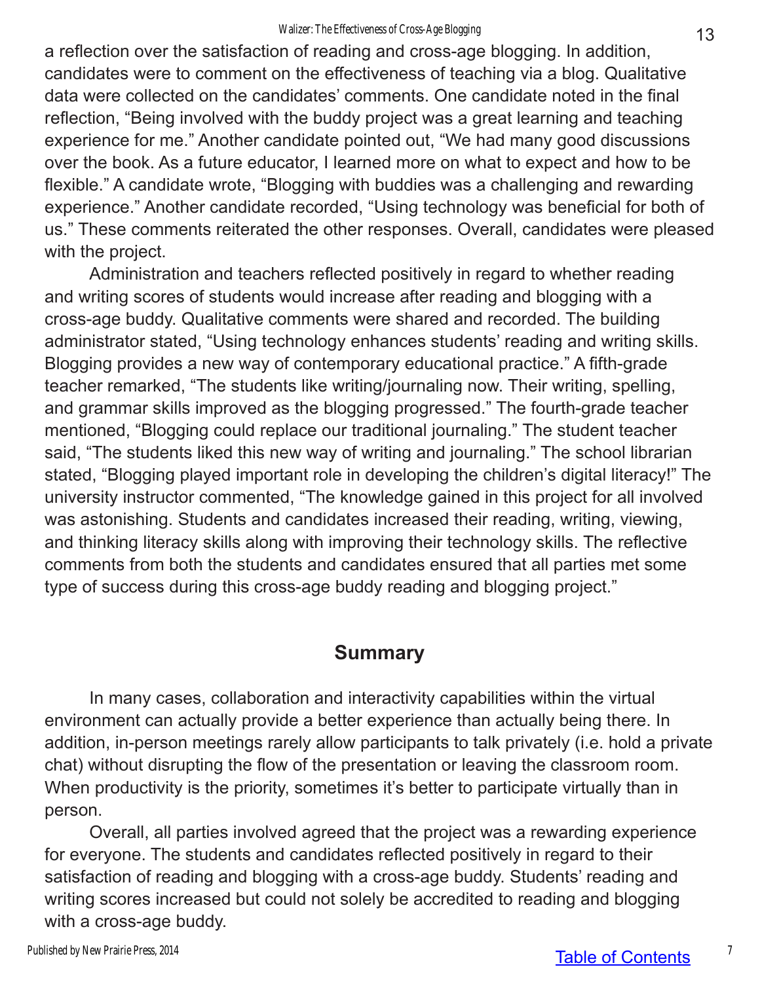a reflection over the satisfaction of reading and cross-age blogging. In addition, candidates were to comment on the effectiveness of teaching via a blog. Qualitative data were collected on the candidates' comments. One candidate noted in the final reflection, "Being involved with the buddy project was a great learning and teaching experience for me." Another candidate pointed out, "We had many good discussions over the book. As a future educator, I learned more on what to expect and how to be flexible." A candidate wrote, "Blogging with buddies was a challenging and rewarding experience." Another candidate recorded, "Using technology was beneficial for both of us." These comments reiterated the other responses. Overall, candidates were pleased with the project.

Administration and teachers reflected positively in regard to whether reading and writing scores of students would increase after reading and blogging with a cross-age buddy. Qualitative comments were shared and recorded. The building administrator stated, "Using technology enhances students' reading and writing skills. Blogging provides a new way of contemporary educational practice." A fifth-grade teacher remarked, "The students like writing/journaling now. Their writing, spelling, and grammar skills improved as the blogging progressed." The fourth-grade teacher mentioned, "Blogging could replace our traditional journaling." The student teacher said, "The students liked this new way of writing and journaling." The school librarian stated, "Blogging played important role in developing the children's digital literacy!" The university instructor commented, "The knowledge gained in this project for all involved was astonishing. Students and candidates increased their reading, writing, viewing, and thinking literacy skills along with improving their technology skills. The reflective comments from both the students and candidates ensured that all parties met some type of success during this cross-age buddy reading and blogging project."

### **Summary**

In many cases, collaboration and interactivity capabilities within the virtual environment can actually provide a better experience than actually being there. In addition, in-person meetings rarely allow participants to talk privately (i.e. hold a private chat) without disrupting the flow of the presentation or leaving the classroom room. When productivity is the priority, sometimes it's better to participate virtually than in person.

Overall, all parties involved agreed that the project was a rewarding experience for everyone. The students and candidates reflected positively in regard to their satisfaction of reading and blogging with a cross-age buddy. Students' reading and writing scores increased but could not solely be accredited to reading and blogging with a cross-age buddy.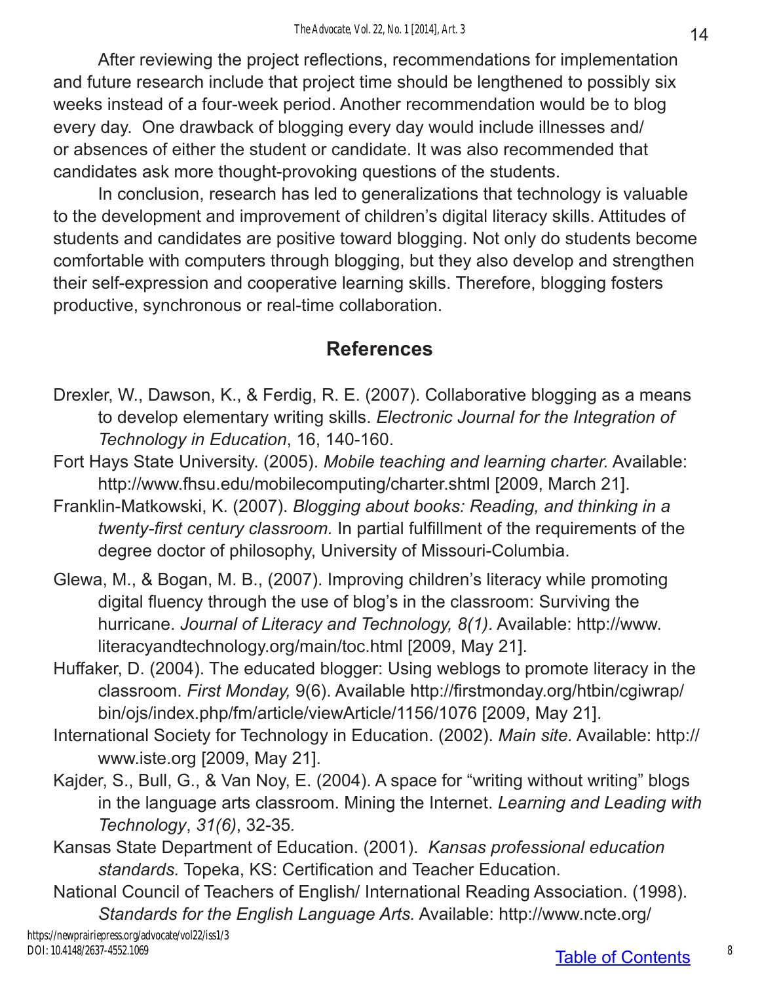After reviewing the project reflections, recommendations for implementation and future research include that project time should be lengthened to possibly six weeks instead of a four-week period. Another recommendation would be to blog every day. One drawback of blogging every day would include illnesses and/ or absences of either the student or candidate. It was also recommended that candidates ask more thought-provoking questions of the students.

In conclusion, research has led to generalizations that technology is valuable to the development and improvement of children's digital literacy skills. Attitudes of students and candidates are positive toward blogging. Not only do students become comfortable with computers through blogging, but they also develop and strengthen their self-expression and cooperative learning skills. Therefore, blogging fosters productive, synchronous or real-time collaboration.

## **References**

- Drexler, W., Dawson, K., & Ferdig, R. E. (2007). Collaborative blogging as a means to develop elementary writing skills. *Electronic Journal for the Integration of Technology in Education*, 16, 140-160.
- Fort Hays State University. (2005). *Mobile teaching and learning charter.* Available: http://www.fhsu.edu/mobilecomputing/charter.shtml [2009, March 21].
- Franklin-Matkowski, K. (2007). *Blogging about books: Reading, and thinking in a twenty-first century classroom.* In partial fulfillment of the requirements of the degree doctor of philosophy, University of Missouri-Columbia.
- Glewa, M., & Bogan, M. B., (2007). Improving children's literacy while promoting digital fluency through the use of blog's in the classroom: Surviving the hurricane. *Journal of Literacy and Technology, 8(1)*. Available: http://www. literacyandtechnology.org/main/toc.html [2009, May 21].
- Huffaker, D. (2004). The educated blogger: Using weblogs to promote literacy in the classroom. *First Monday,* 9(6). Available http://firstmonday.org/htbin/cgiwrap/ bin/ojs/index.php/fm/article/viewArticle/1156/1076 [2009, May 21].
- International Society for Technology in Education. (2002). *Main site.* Available: http:// www.iste.org [2009, May 21].
- Kajder, S., Bull, G., & Van Noy, E. (2004). A space for "writing without writing" blogs in the language arts classroom. Mining the Internet. *Learning and Leading with Technology*, *31(6)*, 32-35*.*
- Kansas State Department of Education. (2001). *Kansas professional education standards.* Topeka, KS: Certification and Teacher Education.
- National Council of Teachers of English/ International Reading Association. (1998). *Standards for the English Language Arts.* Available: http://www.ncte.org/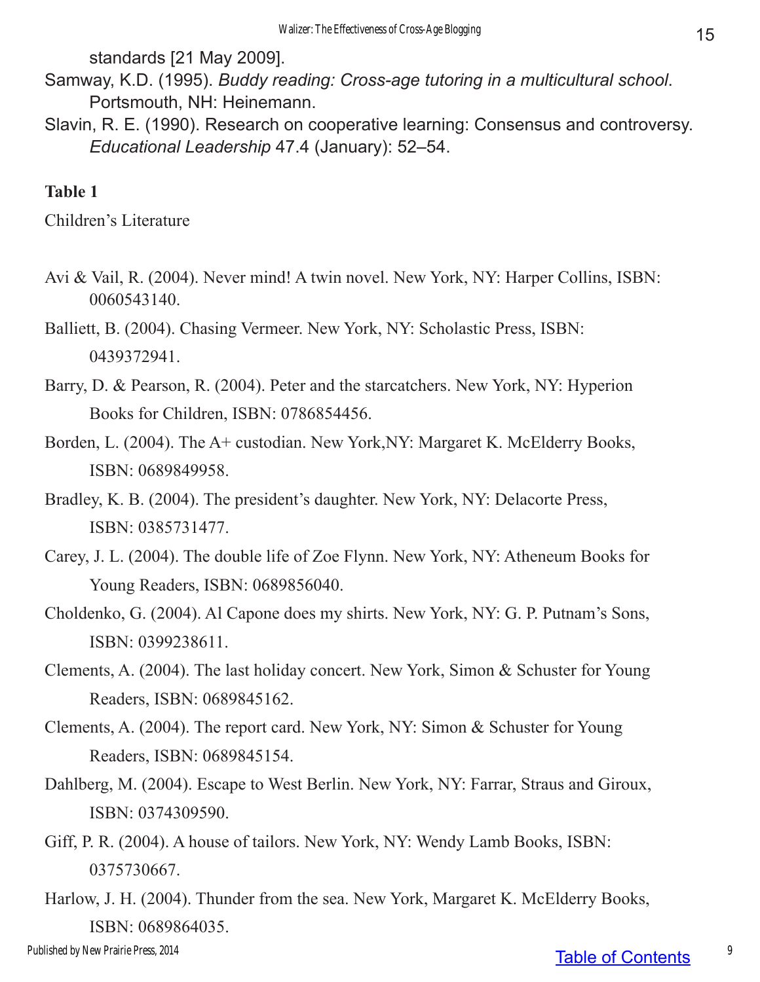standards [21 May 2009].

- Samway, K.D. (1995). *Buddy reading: Cross-age tutoring in a multicultural school*. Portsmouth, NH: Heinemann.
- Slavin, R. E. (1990). Research on cooperative learning: Consensus and controversy. *Educational Leadership* 47.4 (January): 52–54.

#### **Table 1**

Children's Literature

- Avi & Vail, R. (2004). Never mind! A twin novel. New York, NY: Harper Collins, ISBN: 0060543140.
- Balliett, B. (2004). Chasing Vermeer. New York, NY: Scholastic Press, ISBN: 0439372941.
- Barry, D. & Pearson, R. (2004). Peter and the starcatchers. New York, NY: Hyperion Books for Children, ISBN: 0786854456.
- Borden, L. (2004). The A+ custodian. New York,NY: Margaret K. McElderry Books, ISBN: 0689849958.
- Bradley, K. B. (2004). The president's daughter. New York, NY: Delacorte Press, ISBN: 0385731477.
- Carey, J. L. (2004). The double life of Zoe Flynn. New York, NY: Atheneum Books for Young Readers, ISBN: 0689856040.
- Choldenko, G. (2004). Al Capone does my shirts. New York, NY: G. P. Putnam's Sons, ISBN: 0399238611.
- Clements, A. (2004). The last holiday concert. New York, Simon & Schuster for Young Readers, ISBN: 0689845162.
- Clements, A. (2004). The report card. New York, NY: Simon & Schuster for Young Readers, ISBN: 0689845154.
- Dahlberg, M. (2004). Escape to West Berlin. New York, NY: Farrar, Straus and Giroux, ISBN: 0374309590.
- Giff, P. R. (2004). A house of tailors. New York, NY: Wendy Lamb Books, ISBN: 0375730667.
- Harlow, J. H. (2004). Thunder from the sea. New York, Margaret K. McElderry Books, ISBN: 0689864035.